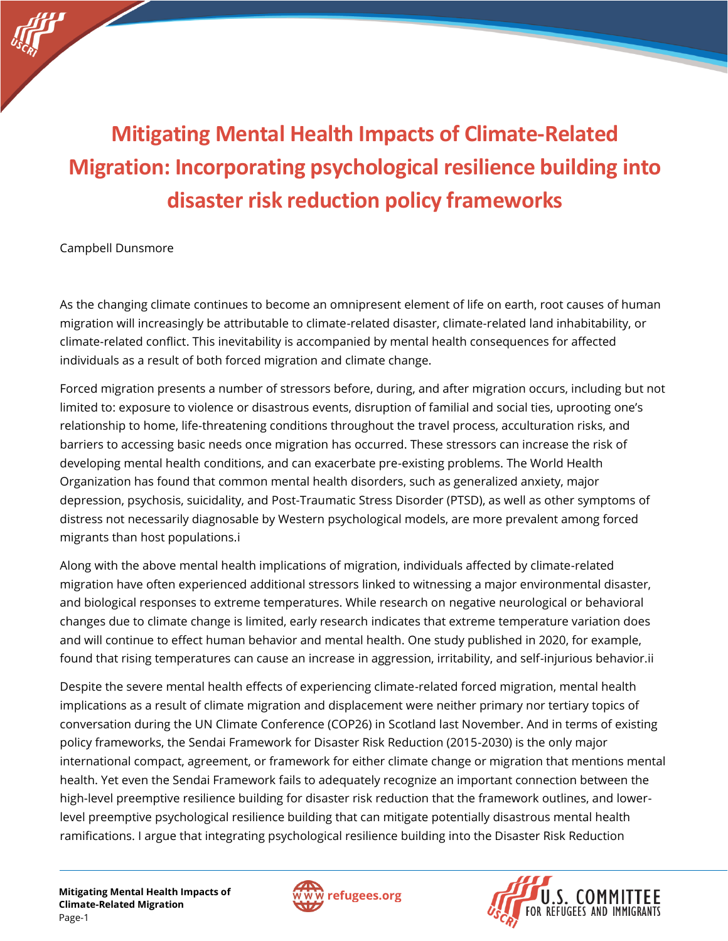# **Mitigating Mental Health Impacts of Climate-Related Migration: Incorporating psychological resilience building into disaster risk reduction policy frameworks**

Campbell Dunsmore

As the changing climate continues to become an omnipresent element of life on earth, root causes of human migration will increasingly be attributable to climate-related disaster, climate-related land inhabitability, or climate-related conflict. This inevitability is accompanied by mental health consequences for affected individuals as a result of both forced migration and climate change.

Forced migration presents a number of stressors before, during, and after migration occurs, including but not limited to: exposure to violence or disastrous events, disruption of familial and social ties, uprooting one's relationship to home, life-threatening conditions throughout the travel process, acculturation risks, and barriers to accessing basic needs once migration has occurred. These stressors can increase the risk of developing mental health conditions, and can exacerbate pre-existing problems. The World Health Organization has found that common mental health disorders, such as generalized anxiety, major depression, psychosis, suicidality, and Post-Traumatic Stress Disorder (PTSD), as well as other symptoms of distress not necessarily diagnosable by Western psychological models, are more prevalent among forced migrants than host populations.i

Along with the above mental health implications of migration, individuals affected by climate-related migration have often experienced additional stressors linked to witnessing a major environmental disaster, and biological responses to extreme temperatures. While research on negative neurological or behavioral changes due to climate change is limited, early research indicates that extreme temperature variation does and will continue to effect human behavior and mental health. One study published in 2020, for example, found that rising temperatures can cause an increase in aggression, irritability, and self-injurious behavior.ii

Despite the severe mental health effects of experiencing climate-related forced migration, mental health implications as a result of climate migration and displacement were neither primary nor tertiary topics of conversation during the UN Climate Conference (COP26) in Scotland last November. And in terms of existing policy frameworks, the Sendai Framework for Disaster Risk Reduction (2015-2030) is the only major international compact, agreement, or framework for either climate change or migration that mentions mental health. Yet even the Sendai Framework fails to adequately recognize an important connection between the high-level preemptive resilience building for disaster risk reduction that the framework outlines, and lowerlevel preemptive psychological resilience building that can mitigate potentially disastrous mental health ramifications. I argue that integrating psychological resilience building into the Disaster Risk Reduction



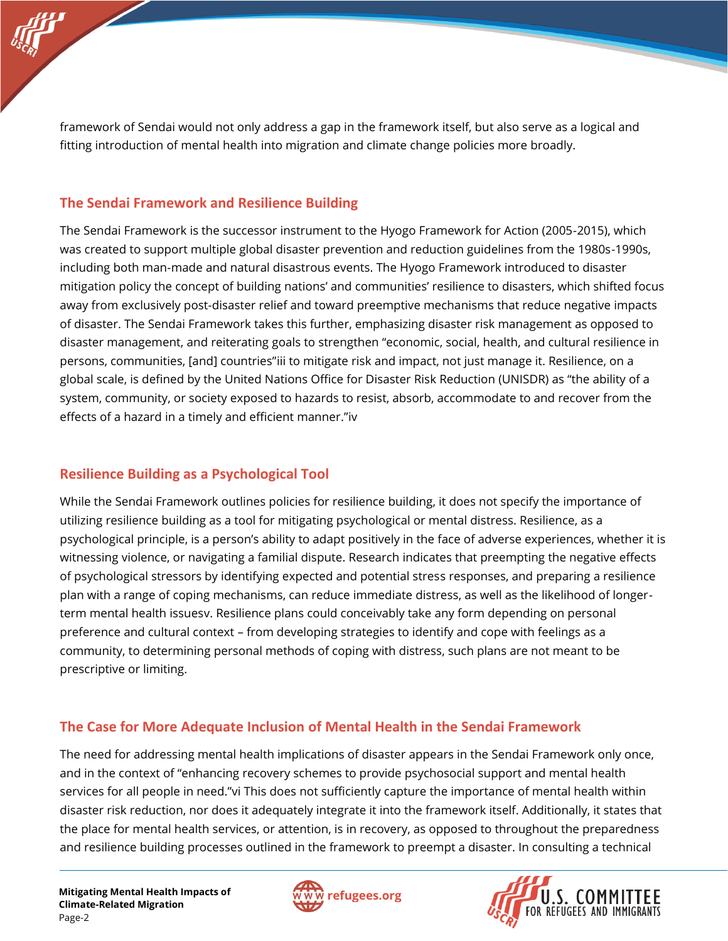framework of Sendai would not only address a gap in the framework itself, but also serve as a logical and fitting introduction of mental health into migration and climate change policies more broadly.

### **The Sendai Framework and Resilience Building**

The Sendai Framework is the successor instrument to the Hyogo Framework for Action (2005-2015), which was created to support multiple global disaster prevention and reduction guidelines from the 1980s-1990s, including both man-made and natural disastrous events. The Hyogo Framework introduced to disaster mitigation policy the concept of building nations' and communities' resilience to disasters, which shifted focus away from exclusively post-disaster relief and toward preemptive mechanisms that reduce negative impacts of disaster. The Sendai Framework takes this further, emphasizing disaster risk management as opposed to disaster management, and reiterating goals to strengthen "economic, social, health, and cultural resilience in persons, communities, [and] countries"iii to mitigate risk and impact, not just manage it. Resilience, on a global scale, is defined by the United Nations Office for Disaster Risk Reduction (UNISDR) as "the ability of a system, community, or society exposed to hazards to resist, absorb, accommodate to and recover from the effects of a hazard in a timely and efficient manner."iv

## **Resilience Building as a Psychological Tool**

While the Sendai Framework outlines policies for resilience building, it does not specify the importance of utilizing resilience building as a tool for mitigating psychological or mental distress. Resilience, as a psychological principle, is a person's ability to adapt positively in the face of adverse experiences, whether it is witnessing violence, or navigating a familial dispute. Research indicates that preempting the negative effects of psychological stressors by identifying expected and potential stress responses, and preparing a resilience plan with a range of coping mechanisms, can reduce immediate distress, as well as the likelihood of longerterm mental health issuesv. Resilience plans could conceivably take any form depending on personal preference and cultural context – from developing strategies to identify and cope with feelings as a community, to determining personal methods of coping with distress, such plans are not meant to be prescriptive or limiting.

#### **The Case for More Adequate Inclusion of Mental Health in the Sendai Framework**

The need for addressing mental health implications of disaster appears in the Sendai Framework only once, and in the context of "enhancing recovery schemes to provide psychosocial support and mental health services for all people in need."vi This does not sufficiently capture the importance of mental health within disaster risk reduction, nor does it adequately integrate it into the framework itself. Additionally, it states that the place for mental health services, or attention, is in recovery, as opposed to throughout the preparedness and resilience building processes outlined in the framework to preempt a disaster. In consulting a technical



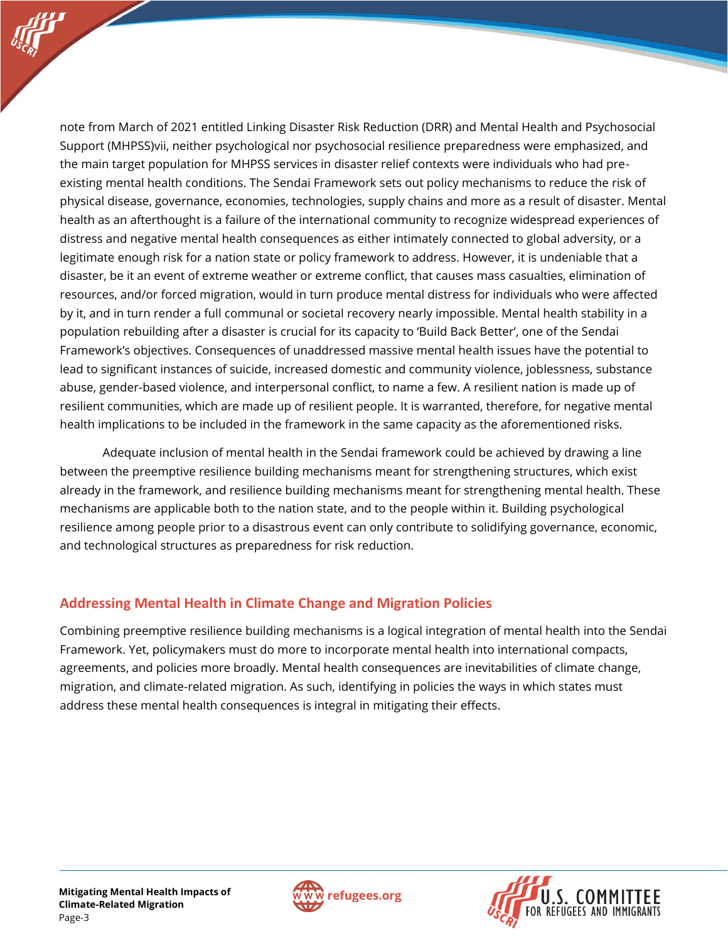note from March of 2021 entitled Linking Disaster Risk Reduction (DRR) and Mental Health and Psychosocial Support (MHPSS)vii, neither psychological nor psychosocial resilience preparedness were emphasized, and

the main target population for MHPSS services in disaster relief contexts were individuals who had preexisting mental health conditions. The Sendai Framework sets out policy mechanisms to reduce the risk of physical disease, governance, economies, technologies, supply chains and more as a result of disaster. Mental health as an afterthought is a failure of the international community to recognize widespread experiences of distress and negative mental health consequences as either intimately connected to global adversity, or a legitimate enough risk for a nation state or policy framework to address. However, it is undeniable that a disaster, be it an event of extreme weather or extreme conflict, that causes mass casualties, elimination of resources, and/or forced migration, would in turn produce mental distress for individuals who were affected by it, and in turn render a full communal or societal recovery nearly impossible. Mental health stability in a population rebuilding after a disaster is crucial for its capacity to 'Build Back Better', one of the Sendai Framework's objectives. Consequences of unaddressed massive mental health issues have the potential to lead to significant instances of suicide, increased domestic and community violence, joblessness, substance abuse, gender-based violence, and interpersonal conflict, to name a few. A resilient nation is made up of resilient communities, which are made up of resilient people. It is warranted, therefore, for negative mental health implications to be included in the framework in the same capacity as the aforementioned risks.

Adequate inclusion of mental health in the Sendai framework could be achieved by drawing a line between the preemptive resilience building mechanisms meant for strengthening structures, which exist already in the framework, and resilience building mechanisms meant for strengthening mental health. These mechanisms are applicable both to the nation state, and to the people within it. Building psychological resilience among people prior to a disastrous event can only contribute to solidifying governance, economic, and technological structures as preparedness for risk reduction.

## **Addressing Mental Health in Climate Change and Migration Policies**

Combining preemptive resilience building mechanisms is a logical integration of mental health into the Sendai Framework. Yet, policymakers must do more to incorporate mental health into international compacts, agreements, and policies more broadly. Mental health consequences are inevitabilities of climate change, migration, and climate-related migration. As such, identifying in policies the ways in which states must address these mental health consequences is integral in mitigating their effects.